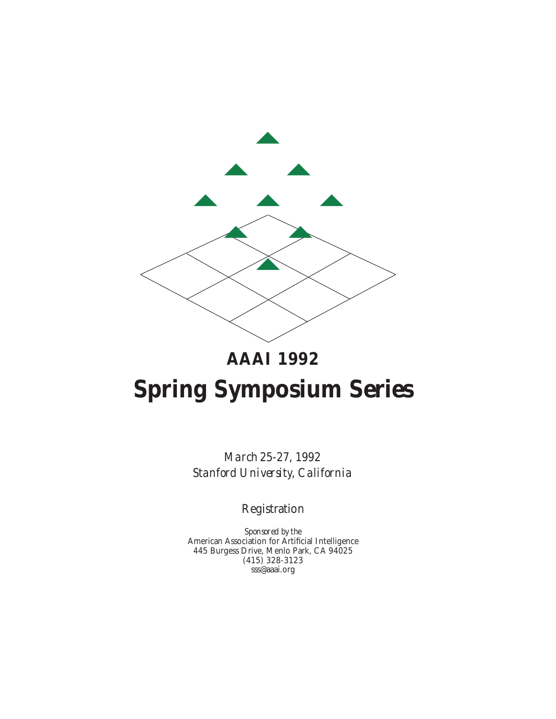

# **AAAI 1992**

# **Spring Symposium Series**

*March 25-27, 1992 Stanford University, California*

Registration

*Sponsored by the* American Association for Artificial Intelligence 445 Burgess Drive, Menlo Park, CA 94025 (415) 328-3123 sss@aaai.org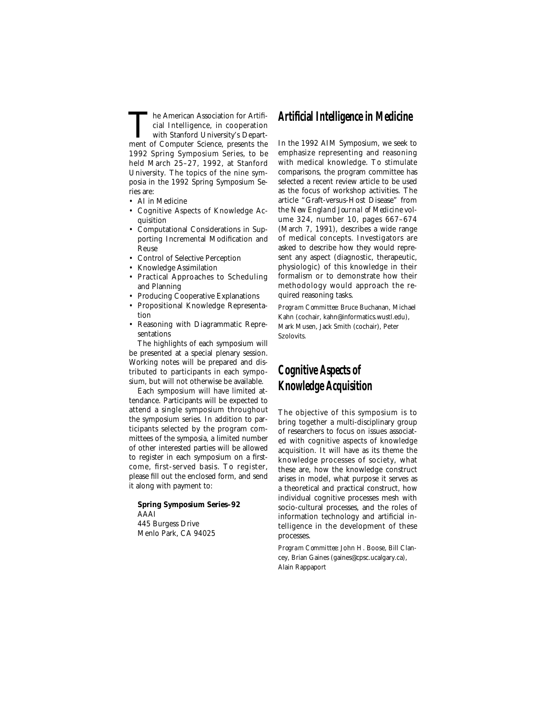The American Association for Artificial Intelligence, in cooperation<br>with Stanford University's Depart-<br>ment of Computer Science, presents the cial Intelligence, in cooperation ment of Computer Science, presents the 1992 Spring Symposium Series, to be held March 25–27, 1992, at Stanford University. The topics of the nine symposia in the 1992 Spring Symposium Series are:

- AI in Medicine
- Cognitive Aspects of Knowledge Acquisition
- Computational Considerations in Supporting Incremental Modification and Reuse
- Control of Selective Perception
- Knowledge Assimilation
- Practical Approaches to Scheduling and Planning
- Producing Cooperative Explanations
- Propositional Knowledge Representation
- Reasoning with Diagrammatic Representations

The highlights of each symposium will be presented at a special plenary session. Working notes will be prepared and distributed to participants in each symposium, but will not otherwise be available.

Each symposium will have limited attendance. Participants will be expected to attend a single symposium throughout the symposium series. In addition to participants selected by the program committees of the symposia, a limited number of other interested parties will be allowed to register in each symposium on a firstcome, first-served basis. To register, please fill out the enclosed form, and send it along with payment to:

**Spring Symposium Series–92** AAAI 445 Burgess Drive Menlo Park, CA 94025

## **Artificial Intelligence in Medicine**

In the 1992 AIM Symposium, we seek to emphasize representing and reasoning with medical knowledge. To stimulate comparisons, the program committee has selected a recent review article to be used as the focus of workshop activities. The article "Graft-versus-Host Disease" from the *New England Journal of Medicine* volume 324, number 10, pages 667–674 (March 7, 1991), describes a wide range of medical concepts. Investigators are asked to describe how they would represent any aspect (diagnostic, therapeutic, physiologic) of this knowledge in their formalism or to demonstrate how their methodology would approach the required reasoning tasks.

*Program Committee:* Bruce Buchanan, Michael Kahn (cochair, kahn@informatics.wustl.edu), Mark Musen, Jack Smith (cochair), Peter Szolovits.

# **Cognitive Aspects of Knowledge Acquisition**

The objective of this symposium is to bring together a multi-disciplinary group of researchers to focus on issues associated with cognitive aspects of knowledge acquisition. It will have as its theme the knowledge processes of society, what these are, how the knowledge construct arises in model, what purpose it serves as a theoretical and practical construct, how individual cognitive processes mesh with socio-cultural processes, and the roles of information technology and artificial intelligence in the development of these processes.

*Program Committee:* John H. Boose, Bill Clancey, Brian Gaines (gaines@cpsc.ucalgary.ca), Alain Rappaport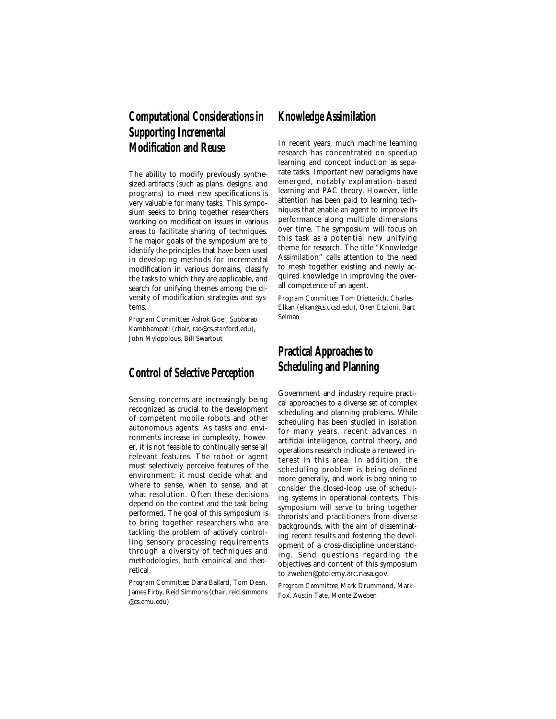# **Computational Considerations in Supporting Incremental Modification and Reuse**

The ability to modify previously synthesized artifacts (such as plans, designs, and programs) to meet new specifications is very valuable for many tasks. This symposium seeks to bring together researchers working on modification issues in various areas to facilitate sharing of techniques. The major goals of the symposium are to identify the principles that have been used in developing methods for incremental modification in various domains, classify the tasks to which they are applicable, and search for unifying themes among the diversity of modification strategies and systems.

*Program Committee:* Ashok Goel, Subbarao Kambhampati (chair, rao@cs.stanford.edu), John Mylopolous, Bill Swartout

## **Control of Selective Perception**

Sensing concerns are increasingly being recognized as crucial to the development of competent mobile robots and other autonomous agents. As tasks and environments increase in complexity, however, it is not feasible to continually sense all relevant features. The robot or agent must selectively perceive features of the environment: it must decide what and where to sense, when to sense, and at what resolution. Often these decisions depend on the context and the task being performed. The goal of this symposium is to bring together researchers who are tackling the problem of actively controlling sensory processing requirements through a diversity of techniques and methodologies, both empirical and theoretical.

*Program Committee:* Dana Ballard, Tom Dean, James Firby, Reid Simmons (chair, reid.simmons @cs.cmu.edu)

### **Knowledge Assimilation**

In recent years, much machine learning research has concentrated on speedup learning and concept induction as separate tasks. Important new paradigms have emerged, notably explanation-based learning and PAC theory. However, little attention has been paid to learning techniques that enable an agent to improve its performance along multiple dimensions over time. The symposium will focus on this task as a potential new unifying theme for research. The title "Knowledge Assimilation" calls attention to the need to mesh together existing and newly acquired knowledge in improving the overall competence of an agent.

*Program Committee:* Tom Dietterich, Charles Elkan (elkan@cs.ucsd.edu), Oren Etzioni, Bart Selman

# **Practical Approaches to Scheduling and Planning**

Government and industry require practical approaches to a diverse set of complex scheduling and planning problems. While scheduling has been studied in isolation for many years, recent advances in artificial intelligence, control theory, and operations research indicate a renewed interest in this area. In addition, the scheduling problem is being defined more generally, and work is beginning to consider the closed-loop use of scheduling systems in operational contexts. This symposium will serve to bring together theorists and practitioners from diverse backgrounds, with the aim of disseminating recent results and fostering the development of a cross-discipline understanding. Send questions regarding the objectives and content of this symposium to zweben@ptolemy.arc.nasa.gov.

*Program Committee:* Mark Drummond, Mark Fox, Austin Tate, Monte Zweben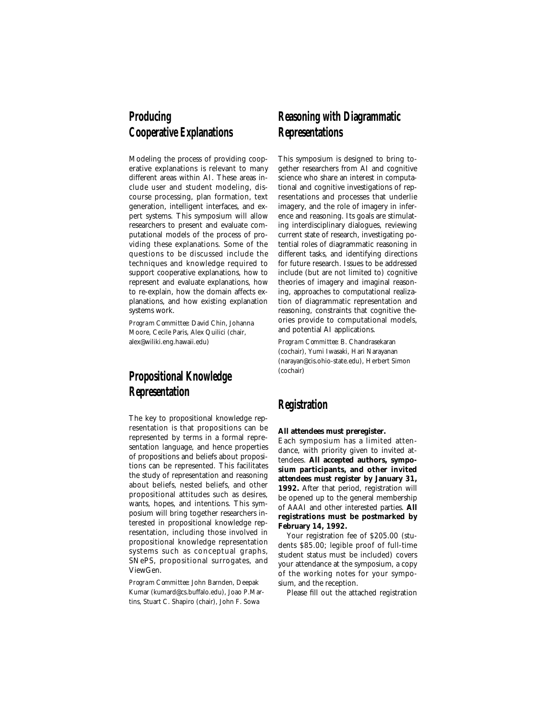# **Producing Cooperative Explanations**

Modeling the process of providing cooperative explanations is relevant to many different areas within AI. These areas include user and student modeling, discourse processing, plan formation, text generation, intelligent interfaces, and expert systems. This symposium will allow researchers to present and evaluate computational models of the process of providing these explanations. Some of the questions to be discussed include the techniques and knowledge required to support cooperative explanations, how to represent and evaluate explanations, how to re-explain, how the domain affects explanations, and how existing explanation systems work.

*Program Committee:* David Chin, Johanna Moore, Cecile Paris, Alex Quilici (chair, alex@wiliki.eng.hawaii.edu)

# **Propositional Knowledge Representation**

The key to propositional knowledge representation is that propositions can be represented by terms in a formal representation language, and hence properties of propositions and beliefs about propositions can be represented. This facilitates the study of representation and reasoning about beliefs, nested beliefs, and other propositional attitudes such as desires, wants, hopes, and intentions. This symposium will bring together researchers interested in propositional knowledge representation, including those involved in propositional knowledge representation systems such as conceptual graphs, SNePS, propositional surrogates, and ViewGen.

*Program Committee:* John Barnden, Deepak Kumar (kumard@cs.buffalo.edu), Joao P.Martins, Stuart C. Shapiro (chair), John F. Sowa

# **Reasoning with Diagrammatic Representations**

This symposium is designed to bring together researchers from AI and cognitive science who share an interest in computational and cognitive investigations of representations and processes that underlie imagery, and the role of imagery in inference and reasoning. Its goals are stimulating interdisciplinary dialogues, reviewing current state of research, investigating potential roles of diagrammatic reasoning in different tasks, and identifying directions for future research. Issues to be addressed include (but are not limited to) cognitive theories of imagery and imaginal reasoning, approaches to computational realization of diagrammatic representation and reasoning, constraints that cognitive theories provide to computational models, and potential AI applications.

*Program Committee:* B. Chandrasekaran (cochair), Yumi Iwasaki, Hari Narayanan (narayan@cis.ohio-state.edu), Herbert Simon (cochair)

# **Registration**

#### **All attendees must preregister.**

Each symposium has a limited attendance, with priority given to invited attendees. **All accepted authors, symposium participants, and other invited attendees must register by January 31, 1992.** After that period, registration will be opened up to the general membership of AAAI and other interested parties. **All registrations must be postmarked by February 14, 1992.**

Your registration fee of \$205.00 (students \$85.00; legible proof of full-time student status must be included) covers your attendance at the symposium, a copy of the working notes for your symposium, and the reception.

Please fill out the attached registration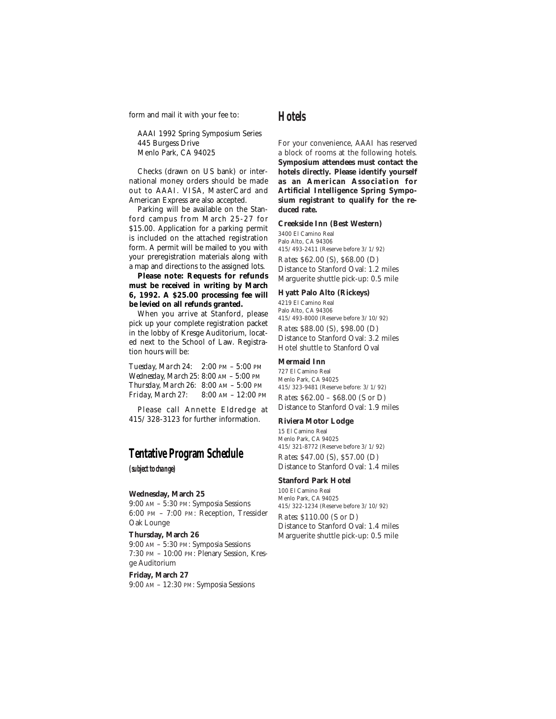form and mail it with your fee to:

AAAI 1992 Spring Symposium Series 445 Burgess Drive Menlo Park, CA 94025

Checks (drawn on US bank) or international money orders should be made out to AAAI. VISA, MasterCard and American Express are also accepted.

Parking will be available on the Stanford campus from March 25-27 for \$15.00. Application for a parking permit is included on the attached registration form. A permit will be mailed to you with your preregistration materials along with a map and directions to the assigned lots.

**Please note: Requests for refunds must be received in writing by March 6, 1992. A \$25.00 processing fee will be levied on all refunds granted.**

When you arrive at Stanford, please pick up your complete registration packet in the lobby of Kresge Auditorium, located next to the School of Law. Registration hours will be:

*Tuesday, March 24:* 2:00 PM – 5:00 PM *Wednesday, March 25:* 8:00 AM – 5:00 PM *Thursday, March 26:* 8:00 AM – 5:00 PM *Friday, March 27:* 8:00 AM – 12:00 PM

Please call Annette Eldredge at 415/328-3123 for further information.

# **Tentative Program Schedule**

*(subject to change)*

#### **Wednesday, March 25**

9:00 AM – 5:30 PM: Symposia Sessions 6:00 PM – 7:00 PM: Reception, Tressider Oak Lounge

**Thursday, March 26**

9:00 AM – 5:30 PM: Symposia Sessions 7:30 PM – 10:00 PM: Plenary Session, Kresge Auditorium

#### **Friday, March 27**

9:00 AM – 12:30 PM: Symposia Sessions

# **Hotels**

For your convenience, AAAI has reserved a block of rooms at the following hotels. **Symposium attendees must contact the hotels directly. Please identify yourself as an American Association for Artificial Intelligence Spring Symposium registrant to qualify for the reduced rate.**

#### **Creekside Inn (Best Western)**

3400 El Camino Real Palo Alto, CA 94306 415/493-2411 (Reserve before 3/1/92)

*Rates:* \$62.00 (S), \$68.00 (D) Distance to Stanford Oval: 1.2 miles Marguerite shuttle pick-up: 0.5 mile

#### **Hyatt Palo Alto (Rickeys)**

4219 El Camino Real Palo Alto, CA 94306 415/493-8000 (Reserve before 3/10/92) *Rates:* \$88.00 (S), \$98.00 (D) Distance to Stanford Oval: 3.2 miles Hotel shuttle to Stanford Oval

#### **Mermaid Inn**

727 El Camino Real Menlo Park, CA 94025 415/323-9481 (Reserve before: 3/1/92) *Rates:* \$62.00 – \$68.00 (S or D) Distance to Stanford Oval: 1.9 miles

#### **Riviera Motor Lodge**

15 El Camino Real Menlo Park, CA 94025 415/321-8772 (Reserve before 3/1/92)

*Rates:* \$47.00 (S), \$57.00 (D) Distance to Stanford Oval: 1.4 miles

#### **Stanford Park Hotel**

100 El Camino Real Menlo Park, CA 94025 415/322-1234 (Reserve before 3/10/92)

*Rates:* \$110.00 (S or D) Distance to Stanford Oval: 1.4 miles Marguerite shuttle pick-up: 0.5 mile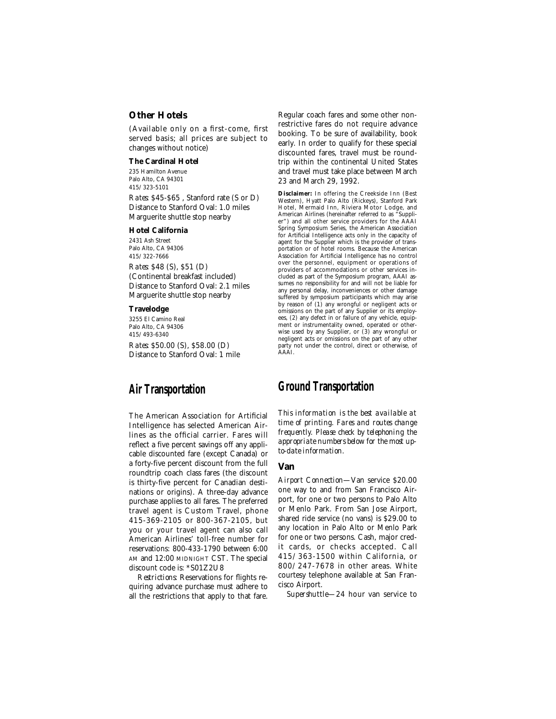### **Other Hotels**

(Available only on a first-come, first served basis; all prices are subject to changes without notice)

#### **The Cardinal Hotel**

235 Hamilton Avenue Palo Alto, CA 94301 415/323-5101

*Rates:* \$45-\$65 , Stanford rate (S or D) Distance to Stanford Oval: 1.0 miles Marguerite shuttle stop nearby

#### **Hotel California**

2431 Ash Street Palo Alto, CA 94306 415/322-7666

*Rates:* \$48 (S), \$51 (D) (Continental breakfast included) Distance to Stanford Oval: 2.1 miles Marguerite shuttle stop nearby

#### **Travelodge**

3255 El Camino Real Palo Alto, CA 94306 415/493-6340 *Rates:* \$50.00 (S), \$58.00 (D) Distance to Stanford Oval: 1 mile

# **Air Transportation**

The American Association for Artificial Intelligence has selected American Airlines as the official carrier. Fares will reflect a five percent savings off any applicable discounted fare (except Canada) or a forty-five percent discount from the full roundtrip coach class fares (the discount is thirty-five percent for Canadian destinations or origins). A three-day advance purchase applies to all fares. The preferred travel agent is Custom Travel, phone 415-369-2105 or 800-367-2105, but you or your travel agent can also call American Airlines' toll-free number for reservations: 800-433-1790 between 6:00 AM and 12:00 MIDNIGHT CST. The special discount code is: \*S01Z2U8

*Restrictions:* Reservations for flights requiring advance purchase must adhere to all the restrictions that apply to that fare.

Regular coach fares and some other nonrestrictive fares do not require advance booking. To be sure of availability, book early. In order to qualify for these special discounted fares, travel must be roundtrip within the continental United States and travel must take place between March 23 and March 29, 1992.

**Disclaimer:** In offering the Creekside Inn (Best Western), Hyatt Palo Alto (Rickeys), Stanford Park Hotel, Mermaid Inn, Riviera Motor Lodge, and American Airlines (hereinafter referred to as "Supplier") and all other service providers for the AAAI Spring Symposium Series, the American Association for Artificial Intelligence acts only in the capacity of agent for the Supplier which is the provider of transportation or of hotel rooms. Because the American Association for Artificial Intelligence has no control over the personnel, equipment or operations of providers of accommodations or other services included as part of the Symposium program, AAAI assumes no responsibility for and will not be liable for any personal delay, inconveniences or other damage suffered by symposium participants which may arise by reason of (1) any wrongful or negligent acts or omissions on the part of any Supplier or its employees, (2) any defect in or failure of any vehicle, equipment or instrumentality owned, operated or otherwise used by any Supplier, or (3) any wrongful or negligent acts or omissions on the part of any other party not under the control, direct or otherwise, of AAAI.

### **Ground Transportation**

*This information is the best available at time of printing. Fares and routes change frequently. Please check by telephoning the appropriate numbers below for the most upto-date information.*

#### **Van**

*Airport Connection*—Van service \$20.00 one way to and from San Francisco Airport, for one or two persons to Palo Alto or Menlo Park. From San Jose Airport, shared ride service (no vans) is \$29.00 to any location in Palo Alto or Menlo Park for one or two persons. Cash, major credit cards, or checks accepted. Call 415/363-1500 within California, or 800/247-7678 in other areas. White courtesy telephone available at San Francisco Airport.

*Supershuttle*—24 hour van service to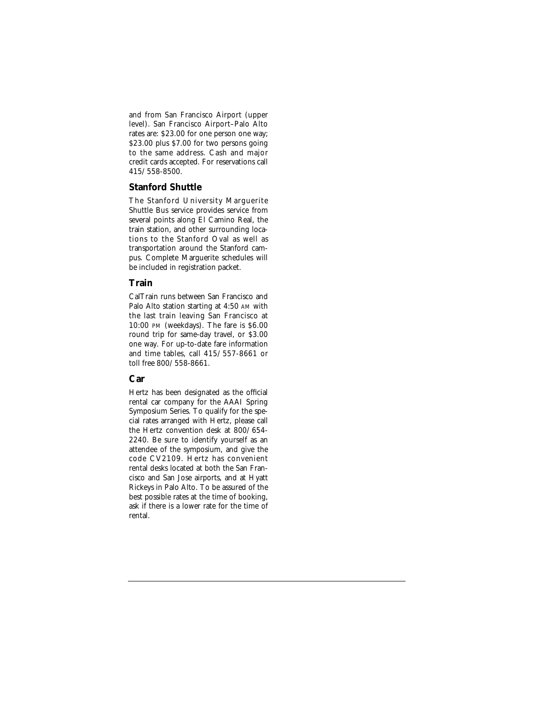and from San Francisco Airport (upper level). San Francisco Airport–Palo Alto rates are: \$23.00 for one person one way; \$23.00 plus \$7.00 for two persons going to the same address. Cash and major credit cards accepted. For reservations call 415/558-8500.

#### **Stanford Shuttle**

The Stanford University Marguerite Shuttle Bus service provides service from several points along El Camino Real, the train station, and other surrounding locations to the Stanford Oval as well as transportation around the Stanford campus. Complete Marguerite schedules will be included in registration packet.

### **Train**

CalTrain runs between San Francisco and Palo Alto station starting at 4:50 AM with the last train leaving San Francisco at 10:00 PM (weekdays). The fare is \$6.00 round trip for same-day travel, or \$3.00 one way. For up-to-date fare information and time tables, call 415/557-8661 or toll free 800/558-8661.

### **Car**

Hertz has been designated as the official rental car company for the AAAI Spring Symposium Series. To qualify for the special rates arranged with Hertz, please call the Hertz convention desk at 800/654- 2240. Be sure to identify yourself as an attendee of the symposium, and give the code CV2109. Hertz has convenient rental desks located at both the San Francisco and San Jose airports, and at Hyatt Rickeys in Palo Alto. To be assured of the best possible rates at the time of booking, ask if there is a lower rate for the time of rental.